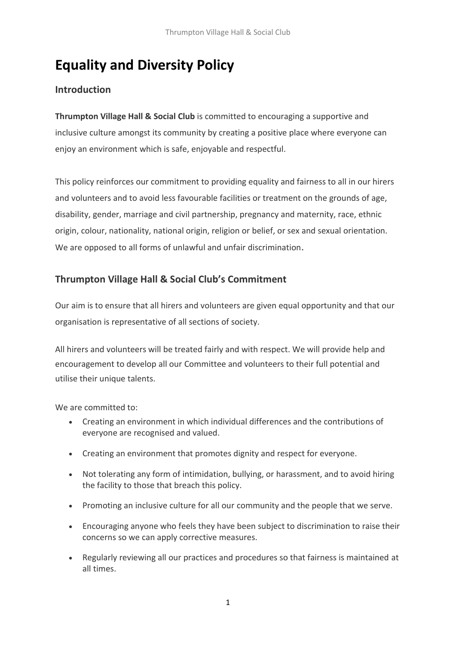# **Equality and Diversity Policy**

### **Introduction**

**Thrumpton Village Hall & Social Club** is committed to encouraging a supportive and inclusive culture amongst its community by creating a positive place where everyone can enjoy an environment which is safe, enjoyable and respectful.

This policy reinforces our commitment to providing equality and fairness to all in our hirers and volunteers and to avoid less favourable facilities or treatment on the grounds of age, disability, gender, marriage and civil partnership, pregnancy and maternity, race, ethnic origin, colour, nationality, national origin, religion or belief, or sex and sexual orientation. We are opposed to all forms of unlawful and unfair discrimination.

## **Thrumpton Village Hall & Social Club's Commitment**

Our aim is to ensure that all hirers and volunteers are given equal opportunity and that our organisation is representative of all sections of society.

All hirers and volunteers will be treated fairly and with respect. We will provide help and encouragement to develop all our Committee and volunteers to their full potential and utilise their unique talents.

We are committed to:

- Creating an environment in which individual differences and the contributions of everyone are recognised and valued.
- Creating an environment that promotes dignity and respect for everyone.
- Not tolerating any form of intimidation, bullying, or harassment, and to avoid hiring the facility to those that breach this policy.
- Promoting an inclusive culture for all our community and the people that we serve.
- Encouraging anyone who feels they have been subject to discrimination to raise their concerns so we can apply corrective measures.
- Regularly reviewing all our practices and procedures so that fairness is maintained at all times.